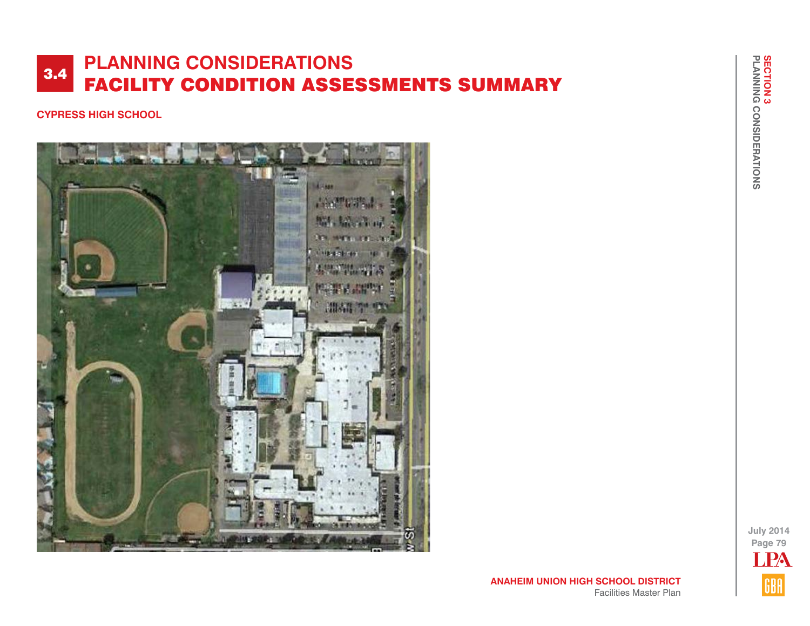#### **CYPRESS HIGH SCHOOL**



**July 2014 Page 79** LPAGBA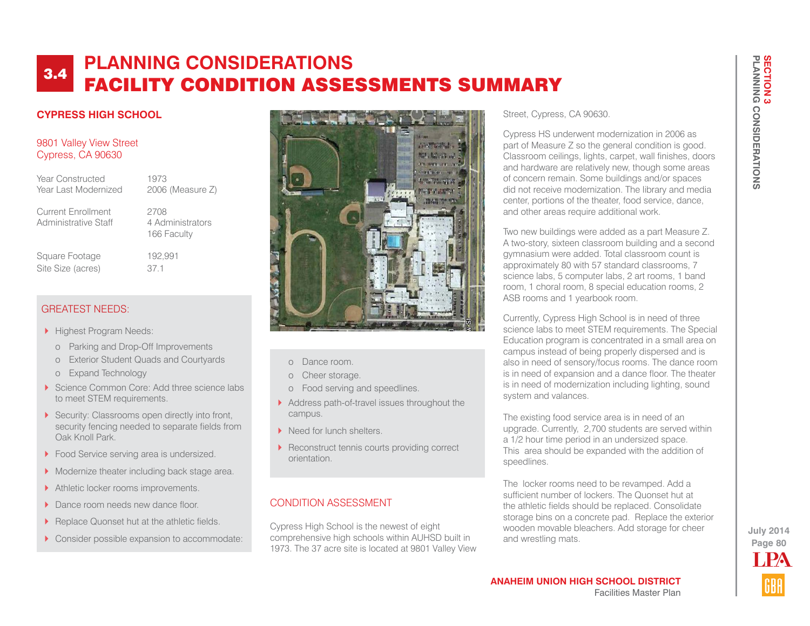## **CYPRESS HIGH SCHOOL**

#### 9801 Valley View Street Cypress, CA 90630

Year Constructed 1973 Year Last Modernized 2006 (Measure Z)

Current Enrollment 2708 Administrative Staff 4 Administrators

166 Faculty

Square Footage 192,991 Site Size (acres) 37.1

# GREATEST NEEDS:

- Highest Program Needs:
	- o Parking and Drop-Off Improvements
	- o Exterior Student Quads and Courtyards
	- o Expand Technology
- Science Common Core: Add three science labs to meet STEM requirements.
- Security: Classrooms open directly into front, security fencing needed to separate fields from Oak Knoll Park.
- **Food Service serving area is undersized.**
- Modernize theater including back stage area.
- Athletic locker rooms improvements.
- Dance room needs new dance floor.
- Replace Quonset hut at the athletic fields.
- ▶ Consider possible expansion to accommodate:



- o Dance room.
- o Cheer storage.
- o Food serving and speedlines.
- Address path-of-travel issues throughout the campus.
- Need for lunch shelters.
- Reconstruct tennis courts providing correct orientation.

#### CONDITION ASSESSMENT

Cypress High School is the newest of eight comprehensive high schools within AUHSD built in 1973. The 37 acre site is located at 9801 Valley View

#### Street, Cypress, CA 90630.

Cypress HS underwent modernization in 2006 as part of Measure Z so the general condition is good. Classroom ceilings, lights, carpet, wall finishes, doors and hardware are relatively new, though some areas of concern remain. Some buildings and/or spaces did not receive modernization. The library and media center, portions of the theater, food service, dance, and other areas require additional work.

Two new buildings were added as a part Measure Z. A two-story, sixteen classroom building and a second gymnasium were added. Total classroom count is approximately 80 with 57 standard classrooms, 7 science labs, 5 computer labs, 2 art rooms, 1 band room, 1 choral room, 8 special education rooms, 2 ASB rooms and 1 yearbook room.

Currently, Cypress High School is in need of three science labs to meet STEM requirements. The Special Education program is concentrated in a small area on campus instead of being properly dispersed and is also in need of sensory/focus rooms. The dance room is in need of expansion and a dance floor. The theater is in need of modernization including lighting, sound system and valances.

The existing food service area is in need of an upgrade. Currently, 2,700 students are served within a 1/2 hour time period in an undersized space. This area should be expanded with the addition of speedlines.

The locker rooms need to be revamped. Add a sufficient number of lockers. The Quonset hut at the athletic fields should be replaced. Consolidate storage bins on a concrete pad. Replace the exterior wooden movable bleachers. Add storage for cheer and wrestling mats.

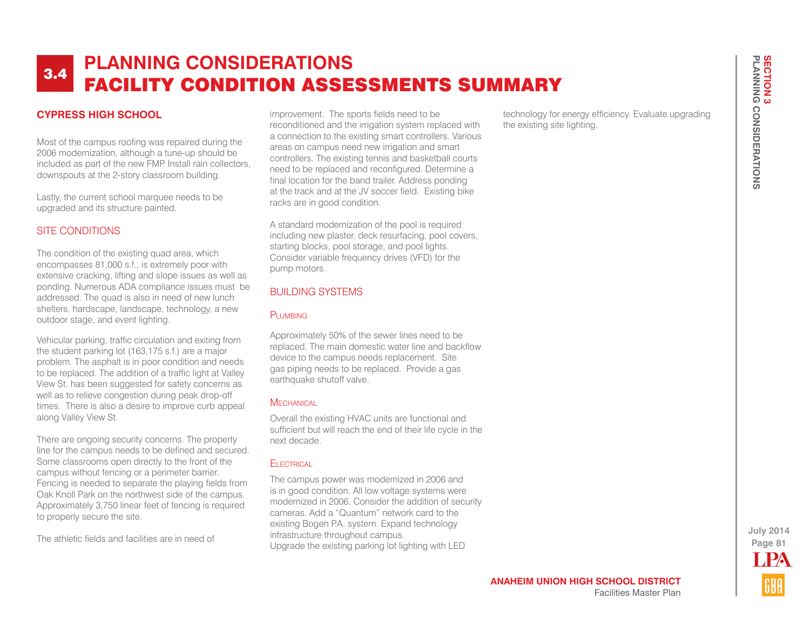## **CYPRESS HIGH SCHOOL**

Most of the campus roofing was repaired during the 2006 modernization, although a tune-up should be included as part of the new FMP. Install rain collectors, downspouts at the 2-story classroom building.

Lastly, the current school marquee needs to be upgraded and its structure painted.

#### SITE CONDITIONS

The condition of the existing quad area, which encompasses 81,000 s.f., is extremely poor with extensive cracking, lifting and slope issues as well as ponding. Numerous ADA compliance issues must be addressed. The quad is also in need of new lunch shelters, hardscape, landscape, technology, a new outdoor stage, and event lighting.

Vehicular parking, traffic circulation and exiting from the student parking lot (163,175 s.f.) are a major problem. The asphalt is in poor condition and needs to be replaced. The addition of a traffic light at Valley View St. has been suggested for safety concerns as well as to relieve congestion during peak drop-off times. There is also a desire to improve curb appeal along Valley View St.

There are ongoing security concerns. The property line for the campus needs to be defined and secured. Some classrooms open directly to the front of the campus without fencing or a perimeter barrier. Fencing is needed to separate the playing fields from Oak Knoll Park on the northwest side of the campus. Approximately 3,750 linear feet of fencing is required to properly secure the site.

The athletic fields and facilities are in need of

improvement. The sports fields need to be reconditioned and the irrigation system replaced with a connection to the existing smart controllers. Various areas on campus need new irrigation and smart controllers. The existing tennis and basketball courts need to be replaced and reconfigured. Determine a final location for the band trailer. Address ponding at the track and at the JV soccer field. Existing bike racks are in good condition.

A standard modernization of the pool is required including new plaster, deck resurfacing, pool covers, starting blocks, pool storage, and pool lights. Consider variable frequency drives (VFD) for the pump motors.

#### BUILDING SYSTEMS

#### PLUMBING

Approximately 50% of the sewer lines need to be replaced. The main domestic water line and backflow device to the campus needs replacement. Site gas piping needs to be replaced. Provide a gas earthquake shutoff valve.

#### **MECHANICAL**

Overall the existing HVAC units are functional and sufficient but will reach the end of their life cycle in the next decade.

#### **ELECTRICAL**

The campus power was modernized in 2006 and is in good condition. All low voltage systems were modernized in 2006. Consider the addition of security cameras. Add a "Quantum" network card to the existing Bogen P.A. system. Expand technology infrastructure throughout campus. Upgrade the existing parking lot lighting with LED

technology for energy efficiency. Evaluate upgrading the existing site lighting.

> **Page 81 July 2014** LPA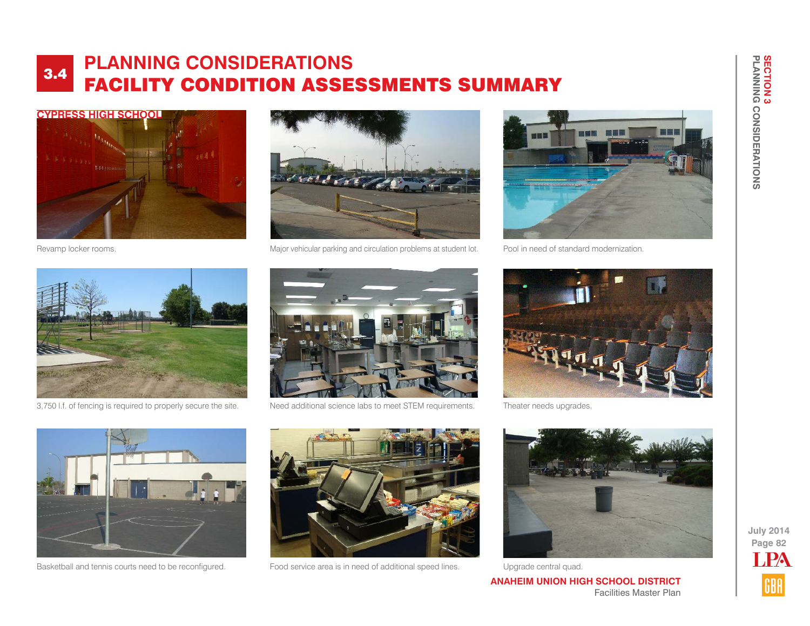



Revamp locker rooms. Major vehicular parking and circulation problems at student lot.



Pool in need of standard modernization.



3,750 l.f. of fencing is required to properly secure the site. Need additional science labs to meet STEM requirements.





Theater needs upgrades.



Basketball and tennis courts need to be reconfigured.



Food service area is in need of additional speed lines. Upgrade central quad.



**ANAHEIM UNION HIGH SCHOOL DISTRICT** Facilities Master Plan

**PLANNING CONSIDERATIONS**

**SECTION 3<br>PLANNING CONSIDERATIONS** 

**SECTION 3**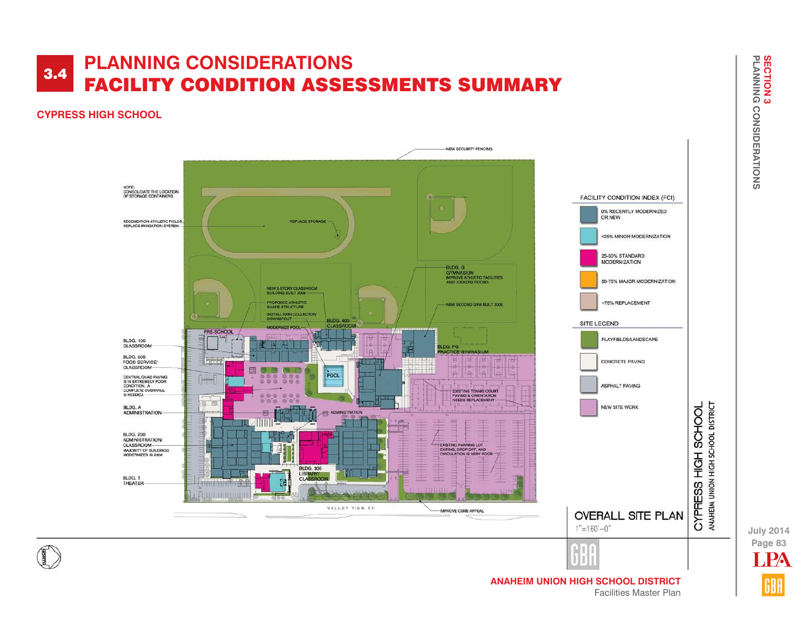#### **CYPRESS HIGH SCHOOL**



**SECTION 3<br>PLANNING CONSIDERATIONS SECTION 3 PLANNING CONSIDERATIONS**

**ANAHEIM UNION HIGH SCHOOL DISTRICT** Facilities Master Plan

**Page 83 July 2014 PA**